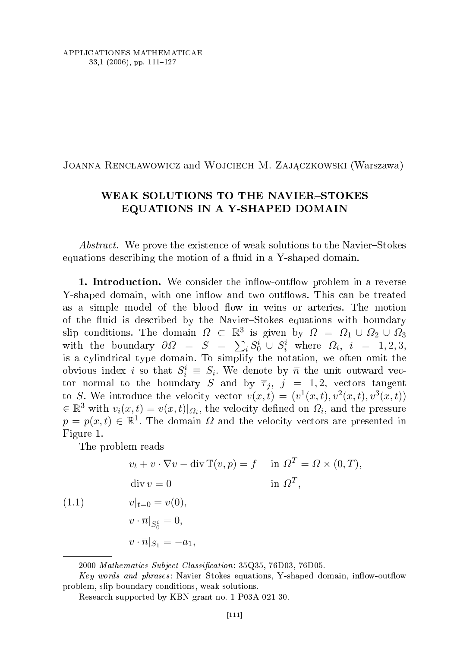## Joanna Rencławowicz and Wojciech M. Zajączkowski (Warszawa)

## WEAK SOLUTIONS TO THE NAVIER-STOKES EQUATIONS IN A Y-SHAPED DOMAIN

*Abstract.* We prove the existence of weak solutions to the Navier-Stokes equations describing the motion of a fluid in a Y-shaped domain.

**1. Introduction.** We consider the inflow-outflow problem in a reverse Y-shaped domain, with one inflow and two outflows. This can be treated as a simple model of the blood flow in veins or arteries. The motion of the fluid is described by the Navier–Stokes equations with boundary slip conditions. The domain  $\Omega \subset \mathbb{R}^3$  is given by  $\Omega = \Omega_1 \cup \Omega_2 \cup \Omega_3$ with the boundary  $\partial \Omega = S = \sum_i S_0^i \cup S_i^i$  where  $\Omega_i$ ,  $i = 1, 2, 3$ , is a cylindrical type domain. To simplify the notation, we often omit the obvious index *i* so that  $S_i^i \equiv S_i$ . We denote by  $\overline{n}$  the unit outward vector normal to the boundary S and by  $\overline{\tau}_i$ ,  $j = 1, 2$ , vectors tangent to S. We introduce the velocity vector  $v(x,t) = (v^1(x,t), v^2(x,t), v^3(x,t))$  $\in \mathbb{R}^3$  with  $v_i(x,t) = v(x,t)|_{\Omega_i}$ , the velocity defined on  $\Omega_i$ , and the pressure  $p = p(x, t) \in \mathbb{R}^1$ . The domain  $\Omega$  and the velocity vectors are presented in Figure 1.

The problem reads

$$
v_t + v \cdot \nabla v - \text{div } \mathbb{T}(v, p) = f \quad \text{in } \Omega^T = \Omega \times (0, T),
$$
  
\n
$$
\text{div } v = 0 \quad \text{in } \Omega^T,
$$
  
\n(1.1) 
$$
v|_{t=0} = v(0),
$$
  
\n
$$
v \cdot \overline{n}|_{S_0^i} = 0,
$$
  
\n
$$
v \cdot \overline{n}|_{S_1} = -a_1,
$$

<sup>2000</sup> Mathematics Subject Classification: 35Q35, 76D03, 76D05.

Key words and phrases : NavierStokes equations, Y-shaped domain, inow-outow problem, slip boundary onditions, weak solutions.

Resear
h supported by KBN grant no. 1 P03A 021 30.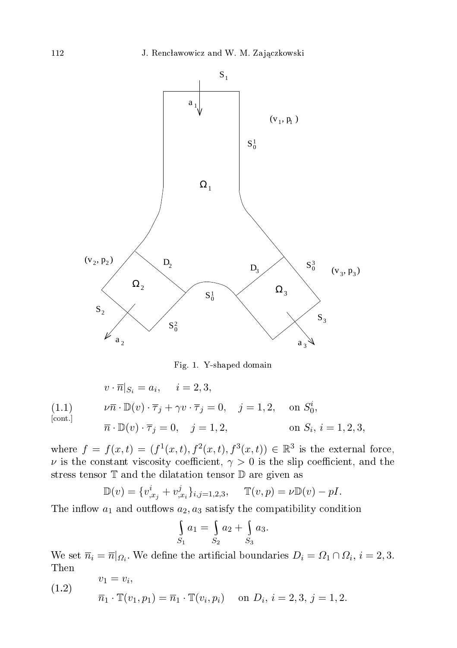

Fig. 1. Y-shaped domain

$$
v \cdot \overline{n}|_{S_i} = a_i, \quad i = 2, 3,
$$

(1.1) 
$$
\nu \overline{n} \cdot \mathbb{D}(v) \cdot \overline{\tau}_j + \gamma v \cdot \overline{\tau}_j = 0, \quad j = 1, 2, \text{ on } S_0^i,
$$
  
\n[cont.] 
$$
\overline{n} \cdot \mathbb{D}(v) \cdot \overline{\tau}_j = 0, \quad j = 1, 2, \text{ on } S_i, i = 1, 2, 3,
$$

where  $f = f(x,t) = (f^{1}(x,t), f^{2}(x,t), f^{3}(x,t)) \in \mathbb{R}^{3}$  is the external force,  $\nu$  is the constant viscosity coefficient,  $\gamma > 0$  is the slip coefficient, and the stress tensor T and the dilatation tensor D are given as

$$
\mathbb{D}(v) = \{v_{,x_j}^i + v_{,x_i}^j\}_{i,j=1,2,3}, \quad \mathbb{T}(v,p) = \nu \mathbb{D}(v) - pI.
$$

The inflow  $a_1$  and outflows  $a_2, a_3$  satisfy the compatibility condition

$$
\int_{S_1} a_1 = \int_{S_2} a_2 + \int_{S_3} a_3.
$$

We set  $\overline{n}_i = \overline{n}|_{\Omega_i}$ . We define the artificial boundaries  $D_i = \Omega_1 \cap \Omega_i$ ,  $i = 2, 3$ . Then

(1.2) 
$$
v_1 = v_i,
$$

$$
\overline{n}_1 \cdot \mathbb{T}(v_1, p_1) = \overline{n}_1 \cdot \mathbb{T}(v_i, p_i) \text{ on } D_i, i = 2, 3, j = 1, 2.
$$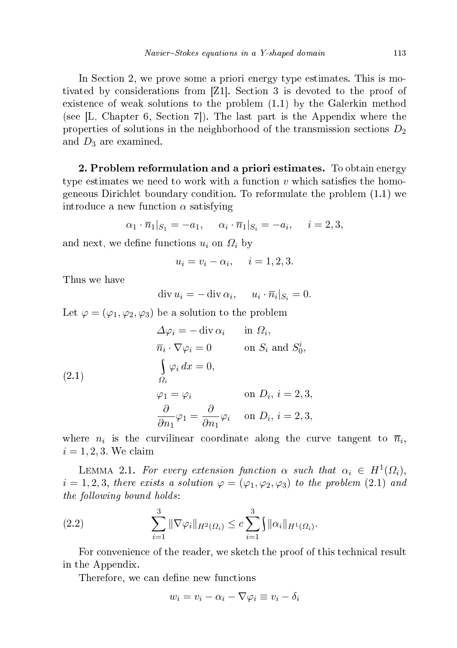In Section 2, we prove some a priori energy type estimates. This is motivated by considerations from  $Z1$ . Section 3 is devoted to the proof of existen
e of weak solutions to the problem (1.1) by the Galerkin method (see  $[L, Chapter 6, Section 7]$ ). The last part is the Appendix where the properties of solutions in the neighborhood of the transmission sections  $D_2$ and  $D_3$  are examined.

2. Problem reformulation and a priori estimates. To obtain energy type estimates we need to work with a function  $v$  which satisfies the homogeneous Diri
hlet boundary ondition. To reformulate the problem (1.1) we introduce a new function  $\alpha$  satisfying

$$
\alpha_1 \cdot \overline{n}_1|_{S_1} = -a_1, \quad \alpha_i \cdot \overline{n}_1|_{S_i} = -a_i, \quad i = 2, 3,
$$

and next, we define functions  $u_i$  on  $\Omega_i$  by

$$
u_i = v_i - \alpha_i, \quad i = 1, 2, 3.
$$

Thus we have

 $\operatorname{div} u_i = -\operatorname{div} \alpha_i, \quad u_i \cdot \overline{n}_i |_{S_i} = 0.$ 

Let  $\varphi = (\varphi_1, \varphi_2, \varphi_3)$  be a solution to the problem

(2.1)  
\n
$$
\Delta \varphi_i = - \operatorname{div} \alpha_i \quad \text{in } \Omega_i,
$$
\n
$$
\overline{n}_i \cdot \nabla \varphi_i = 0 \quad \text{on } S_i \text{ and } S_0^i,
$$
\n
$$
\begin{cases}\n\varphi_i \, dx = 0, \\
\Omega_i\n\end{cases}
$$
\n
$$
\varphi_1 = \varphi_i \quad \text{on } D_i, i = 2, 3,
$$
\n
$$
\frac{\partial}{\partial n_1} \varphi_1 = \frac{\partial}{\partial n_1} \varphi_i \quad \text{on } D_i, i = 2, 3,
$$

where  $n_i$  is the curvilinear coordinate along the curve tangent to  $\overline{n}_i$ ,  $i = 1, 2, 3$ . We claim

LEMMA 2.1. For every extension function  $\alpha$  such that  $\alpha_i \in H^1(\Omega_i)$ ,  $i = 1, 2, 3$ , there exists a solution  $\varphi = (\varphi_1, \varphi_2, \varphi_3)$  to the problem (2.1) and the following bound holds:

(2.2) 
$$
\sum_{i=1}^{3} \|\nabla \varphi_{i}\|_{H^{2}(\Omega_{i})} \leq c \sum_{i=1}^{3} \|\alpha_{i}\|_{H^{1}(\Omega_{i})}.
$$

For convenience of the reader, we sketch the proof of this technical result in the Appendix.

Therefore, we can define new functions

$$
w_i = v_i - \alpha_i - \nabla \varphi_i \equiv v_i - \delta_i
$$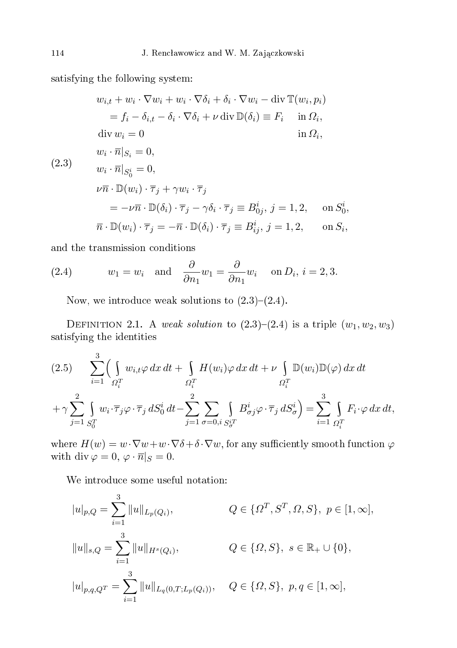satisfying the following system:

$$
w_{i,t} + w_i \cdot \nabla w_i + w_i \cdot \nabla \delta_i + \delta_i \cdot \nabla w_i - \text{div } \mathbb{T}(w_i, p_i)
$$
  
\n
$$
= f_i - \delta_{i,t} - \delta_i \cdot \nabla \delta_i + \nu \text{ div } \mathbb{D}(\delta_i) \equiv F_i \quad \text{in } \Omega_i,
$$
  
\n
$$
\text{div } w_i = 0 \quad \text{in } \Omega_i,
$$
  
\n
$$
w_i \cdot \overline{n}|_{S_i} = 0,
$$
  
\n
$$
w_i \cdot \overline{n}|_{S_0^i} = 0,
$$
  
\n
$$
\nu \overline{n} \cdot \mathbb{D}(w_i) \cdot \overline{\tau}_j + \gamma w_i \cdot \overline{\tau}_j
$$
  
\n
$$
= -\nu \overline{n} \cdot \mathbb{D}(\delta_i) \cdot \overline{\tau}_j - \gamma \delta_i \cdot \overline{\tau}_j \equiv B_{0j}^i, j = 1, 2, \quad \text{on } S_0^i,
$$
  
\n
$$
\overline{n} \cdot \mathbb{D}(w_i) \cdot \overline{\tau}_j = -\overline{n} \cdot \mathbb{D}(\delta_i) \cdot \overline{\tau}_j \equiv B_{ij}^i, j = 1, 2, \quad \text{on } S_i,
$$

and the transmission onditions

(2.4) 
$$
w_1 = w_i
$$
 and  $\frac{\partial}{\partial n_1} w_1 = \frac{\partial}{\partial n_1} w_i$  on  $D_i$ ,  $i = 2, 3$ .

Now, we introduce weak solutions to  $(2.3)-(2.4)$ .

DEFINITION 2.1. A weak solution to  $(2.3)-(2.4)$  is a triple  $(w_1, w_2, w_3)$ satisfying the identities

$$
(2.5) \sum_{i=1}^{3} \left( \int_{\Omega_{i}^{T}} w_{i,t} \varphi \, dx \, dt + \int_{\Omega_{i}^{T}} H(w_{i}) \varphi \, dx \, dt + \nu \int_{\Omega_{i}^{T}} \mathbb{D}(w_{i}) \mathbb{D}(\varphi) \, dx \, dt \right.
$$

$$
+ \gamma \sum_{j=1}^{2} \int_{S_{0}^{T}} w_{i} \cdot \overline{\tau}_{j} \varphi \cdot \overline{\tau}_{j} \, dS_{0}^{i} \, dt - \sum_{j=1}^{2} \int_{\sigma=0, i} \int_{S_{\sigma}^{T}} B_{\sigma j}^{i} \varphi \cdot \overline{\tau}_{j} \, dS_{\sigma}^{i} \right) = \sum_{i=1}^{3} \int_{\Omega_{i}^{T}} F_{i} \cdot \varphi \, dx \, dt,
$$

where  $H(w) = w \cdot \nabla w + w \cdot \nabla \delta + \delta \cdot \nabla w$ , for any sufficiently smooth function  $\varphi$ with div  $\varphi = 0, \varphi \cdot \overline{n}|_S = 0.$ 

We introdu
e some useful notation:

$$
|u|_{p,Q} = \sum_{i=1}^{3} ||u||_{L_p(Q_i)}, \qquad Q \in \{\Omega^T, S^T, \Omega, S\}, \ p \in [1, \infty],
$$
  

$$
||u||_{s,Q} = \sum_{i=1}^{3} ||u||_{H^s(Q_i)}, \qquad Q \in \{\Omega, S\}, \ s \in \mathbb{R}_+ \cup \{0\},
$$
  

$$
|u|_{p,q,Q^T} = \sum_{i=1}^{3} ||u||_{L_q(0,T;L_p(Q_i))}, \qquad Q \in \{\Omega, S\}, \ p,q \in [1, \infty],
$$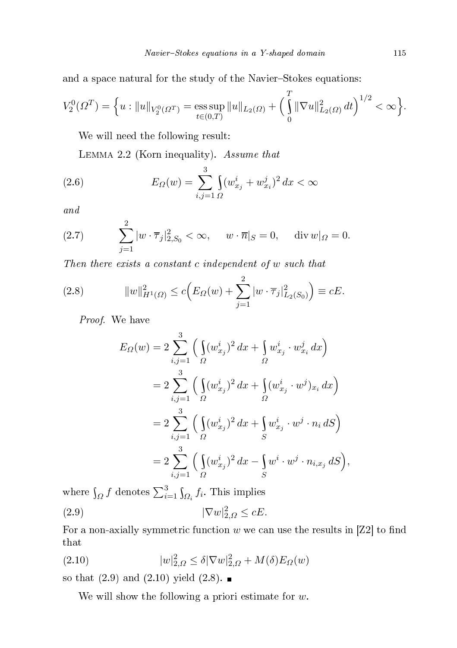and a space natural for the study of the Navier-Stokes equations:

$$
V_2^0(\Omega^T) = \left\{ u : \|u\|_{V_2^0(\Omega^T)} = \operatorname*{ess\,sup}_{t \in (0,T)} \|u\|_{L_2(\Omega)} + \left(\int_0^T \|\nabla u\|_{L_2(\Omega)}^2 dt\right)^{1/2} < \infty \right\}.
$$

We will need the following result:

LEMMA 2.2 (Korn inequality). Assume that

(2.6) 
$$
E_{\Omega}(w) = \sum_{i,j=1}^{3} \int_{\Omega} (w_{x_j}^{i} + w_{x_i}^{j})^2 dx < \infty
$$

and

(2.7) 
$$
\sum_{j=1}^{2} |w \cdot \overline{\tau}_{j}|_{2,S_{0}}^{2} < \infty, \quad w \cdot \overline{n}|_{S} = 0, \quad \text{div } w|_{\Omega} = 0.
$$

Then there exists a constant c independent of w such that

(2.8) 
$$
||w||_{H^1(\Omega)}^2 \le c \Big( E_{\Omega}(w) + \sum_{j=1}^2 |w \cdot \overline{\tau}_j|_{L_2(S_0)}^2 \Big) \equiv cE.
$$

Proof. We have

$$
E_{\Omega}(w) = 2 \sum_{i,j=1}^{3} \left( \int_{\Omega} (w_{x_j}^i)^2 dx + \int_{\Omega} w_{x_j}^i \cdot w_{x_i}^j dx \right)
$$
  
=  $2 \sum_{i,j=1}^{3} \left( \int_{\Omega} (w_{x_j}^i)^2 dx + \int_{\Omega} (w_{x_j}^i \cdot w^j)_{x_i} dx \right)$   
=  $2 \sum_{i,j=1}^{3} \left( \int_{\Omega} (w_{x_j}^i)^2 dx + \int_{S} w_{x_j}^i \cdot w^j \cdot n_i dS \right)$   
=  $2 \sum_{i,j=1}^{3} \left( \int_{\Omega} (w_{x_j}^i)^2 dx - \int_{S} w^i \cdot w^j \cdot n_{i,x_j} dS \right),$ 

where  $\int_{\Omega} f$  denotes  $\sum_{i=1}^{3} \int_{\Omega_i} f_i$ . This implies

$$
(2.9) \t\t |\nabla w|_{2,\Omega}^2 \le cE.
$$

For a non-axially symmetric function  $w$  we can use the results in [Z2] to find that

(2.10) 
$$
|w|_{2,\Omega}^2 \le \delta |\nabla w|_{2,\Omega}^2 + M(\delta) E_{\Omega}(w)
$$

so that  $(2.9)$  and  $(2.10)$  yield  $(2.8)$ .

We will show the following a priori estimate for  $w$ .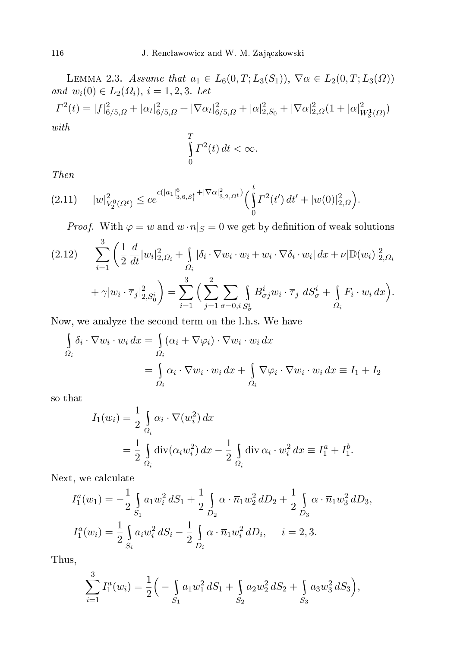LEMMA 2.3. Assume that  $a_1 \in L_6(0,T;L_3(S_1)), \ \nabla \alpha \in L_2(0,T;L_3(\Omega))$ and  $w_i(0) \in L_2(\Omega_i)$ ,  $i = 1, 2, 3$ . Let  $\Gamma^2(t) = |f|^2_{6/5,\Omega} + |\alpha_t|^2_{6/5,\Omega} + |\nabla \alpha_t|^2_{6/5,\Omega} + |\alpha|^2_{2,S_0} + |\nabla \alpha|^2_{2,\Omega} (1 + |\alpha|^2_{W^1_3(\Omega)})$ with

$$
\int_{0}^{T} \Gamma^{2}(t) dt < \infty.
$$

Then

$$
(2.11) \t|w|_{V_2^0(\Omega^t)}^2 \le ce^{c(|a_1|_{3,6,S_1^t}^6 + |\nabla \alpha|_{3,2,\Omega^t}^2)} \left(\int_0^t \Gamma^2(t')\,dt' + |w(0)|_{2,\Omega}^2\right).
$$

*Proof.* With  $\varphi = w$  and  $w \cdot \overline{n}|_S = 0$  we get by definition of weak solutions

$$
(2.12) \qquad \sum_{i=1}^{3} \left( \frac{1}{2} \frac{d}{dt} |w_i|_{2,\Omega_i}^2 + \int_{\Omega_i} |\delta_i \cdot \nabla w_i \cdot w_i + w_i \cdot \nabla \delta_i \cdot w_i| \, dx + \nu |\mathbb{D}(w_i)|_{2,\Omega_i}^2 + \gamma |w_i \cdot \overline{\tau}_j|_{2,S_0^i}^2 \right) = \sum_{i=1}^{3} \left( \sum_{j=1}^{2} \sum_{\sigma=0, i \ S_{\sigma}^i} \int_{S_{\sigma}^i} B_{\sigma j}^i w_i \cdot \overline{\tau}_j \, dS_{\sigma}^i + \int_{\Omega_i} F_i \cdot w_i \, dx \right).
$$

Now, we analyze the se
ond term on the l.h.s. We have

$$
\int_{\Omega_i} \delta_i \cdot \nabla w_i \cdot w_i \, dx = \int_{\Omega_i} (\alpha_i + \nabla \varphi_i) \cdot \nabla w_i \cdot w_i \, dx
$$
\n
$$
= \int_{\Omega_i} \alpha_i \cdot \nabla w_i \cdot w_i \, dx + \int_{\Omega_i} \nabla \varphi_i \cdot \nabla w_i \cdot w_i \, dx \equiv I_1 + I_2
$$

so that

$$
I_1(w_i) = \frac{1}{2} \int_{\Omega_i} \alpha_i \cdot \nabla(w_i^2) dx
$$
  
= 
$$
\frac{1}{2} \int_{\Omega_i} \text{div}(\alpha_i w_i^2) dx - \frac{1}{2} \int_{\Omega_i} \text{div} \alpha_i \cdot w_i^2 dx \equiv I_1^a + I_1^b.
$$

Next, we calculate

$$
I_1^a(w_1) = -\frac{1}{2} \int_{S_1} a_1 w_i^2 dS_1 + \frac{1}{2} \int_{D_2} \alpha \cdot \overline{n}_1 w_2^2 dD_2 + \frac{1}{2} \int_{D_3} \alpha \cdot \overline{n}_1 w_3^2 dD_3,
$$
  

$$
I_1^a(w_i) = \frac{1}{2} \int_{S_i} a_i w_i^2 dS_i - \frac{1}{2} \int_{D_i} \alpha \cdot \overline{n}_1 w_i^2 dD_i, \quad i = 2, 3.
$$

Thus,

$$
\sum_{i=1}^{3} I_1^a(w_i) = \frac{1}{2} \Big( - \int_{S_1} a_1 w_1^2 dS_1 + \int_{S_2} a_2 w_2^2 dS_2 + \int_{S_3} a_3 w_3^2 dS_3 \Big),
$$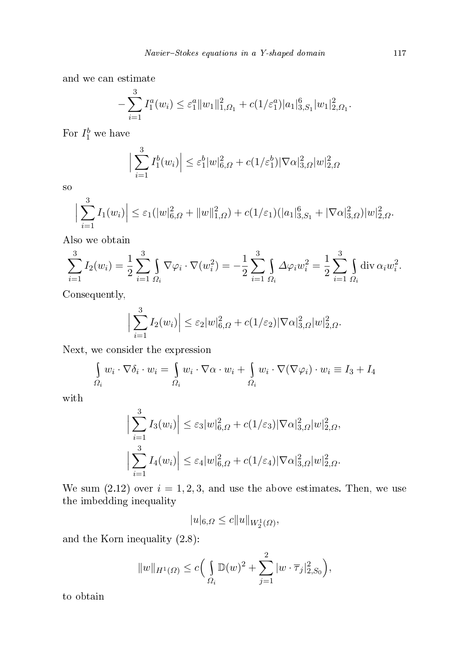and we an estimate

$$
-\sum_{i=1}^3 I_1^a(w_i) \leq \varepsilon_1^a \|w_1\|_{1,\Omega_1}^2 + c(1/\varepsilon_1^a) |a_1|_{3,S_1}^6 |w_1|_{2,\Omega_1}^2.
$$

For  $I_1^b$  we have

$$
\Big|\sum_{i=1}^{3} I_1^b(w_i)\Big| \leq \varepsilon_1^b |w|_{6,\Omega}^2 + c(1/\varepsilon_1^b) |\nabla \alpha|_{3,\Omega}^2 |w|_{2,\Omega}^2
$$

so

$$
\Big|\sum_{i=1}^3 I_1(w_i)\Big|\leq \varepsilon_1(|w|_{6,\Omega}^2+\|w\|_{1,\Omega}^2)+c(1/\varepsilon_1)(|a_1|_{3,S_1}^6+|\nabla\alpha|_{3,\Omega}^2)|w|_{2,\Omega}^2.
$$

Also we obtain

$$
\sum_{i=1}^{3} I_2(w_i) = \frac{1}{2} \sum_{i=1}^{3} \int_{\Omega_i} \nabla \varphi_i \cdot \nabla (w_i^2) = -\frac{1}{2} \sum_{i=1}^{3} \int_{\Omega_i} \Delta \varphi_i w_i^2 = \frac{1}{2} \sum_{i=1}^{3} \int_{\Omega_i} \text{div } \alpha_i w_i^2.
$$

Consequently,

$$
\Big|\sum_{i=1}^3 I_2(w_i)\Big|\leq \varepsilon_2 |w|_{6,\Omega}^2 + c(1/\varepsilon_2) |\nabla \alpha|_{3,\Omega}^2 |w|_{2,\Omega}^2.
$$

Next, we consider the expression

$$
\int_{\Omega_i} w_i \cdot \nabla \delta_i \cdot w_i = \int_{\Omega_i} w_i \cdot \nabla \alpha \cdot w_i + \int_{\Omega_i} w_i \cdot \nabla (\nabla \varphi_i) \cdot w_i \equiv I_3 + I_4
$$

with

$$
\left| \sum_{i=1}^{3} I_3(w_i) \right| \leq \varepsilon_3 |w|_{6,\Omega}^2 + c(1/\varepsilon_3) |\nabla \alpha|_{3,\Omega}^2 |w|_{2,\Omega}^2,
$$
  

$$
\left| \sum_{i=1}^{3} I_4(w_i) \right| \leq \varepsilon_4 |w|_{6,\Omega}^2 + c(1/\varepsilon_4) |\nabla \alpha|_{3,\Omega}^2 |w|_{2,\Omega}^2.
$$

We sum  $(2.12)$  over  $i = 1, 2, 3$ , and use the above estimates. Then, we use the imbedding inequality

 $|u|_{6,\Omega} \leq c||u||_{W_2^1(\Omega)},$ 

and the Korn inequality (2.8):

$$
||w||_{H^1(\Omega)} \le c \Big( \int_{\Omega_i} \mathbb{D}(w)^2 + \sum_{j=1}^2 |w \cdot \overline{\tau}_j|_{2,S_0}^2 \Big),
$$

to obtain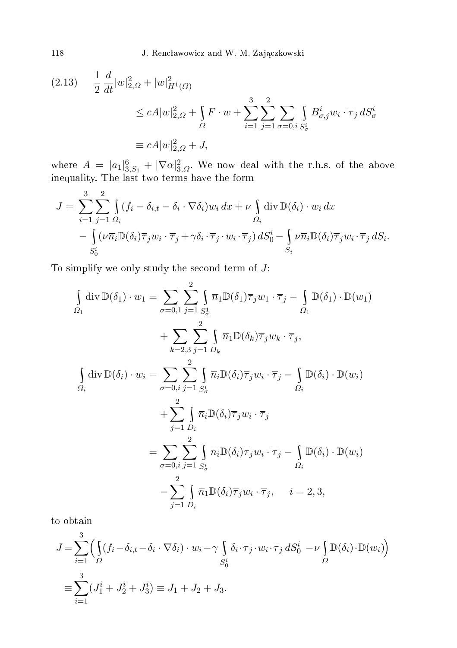$$
(2.13) \quad \frac{1}{2} \frac{d}{dt} |w|_{2,\Omega}^2 + |w|_{H^1(\Omega)}^2
$$
\n
$$
\le cA|w|_{2,\Omega}^2 + \int_{\Omega} F \cdot w + \sum_{i=1}^3 \sum_{j=1}^2 \sum_{\sigma=0, i} \int_{S^i_{\sigma}} B^i_{\sigma,j} w_i \cdot \overline{\tau}_j dS^i_{\sigma}
$$
\n
$$
\equiv cA|w|_{2,\Omega}^2 + J,
$$

where  $A = |a_1|^6_{3, S_1} + |\nabla \alpha|^2_{3, \Omega}$ . We now deal with the r.h.s. of the above inequality. The last two terms have the form of the form of the form of the form of the form of the form of th

$$
J = \sum_{i=1}^{3} \sum_{j=1}^{2} \int_{\Omega_i} (f_i - \delta_{i,t} - \delta_i \cdot \nabla \delta_i) w_i \, dx + \nu \int_{\Omega_i} \text{div } \mathbb{D}(\delta_i) \cdot w_i \, dx - \int_{S_0^i} (\nu \overline{n}_i \mathbb{D}(\delta_i) \overline{\tau}_j w_i \cdot \overline{\tau}_j + \gamma \delta_i \cdot \overline{\tau}_j \cdot w_i \cdot \overline{\tau}_j) \, dS_0^i - \int_{S_i} \nu \overline{n}_i \mathbb{D}(\delta_i) \overline{\tau}_j w_i \cdot \overline{\tau}_j \, dS_i.
$$

To simplify we only study the second term of  $J$ :

$$
\int_{\Omega_1} \text{div}\,\mathbb{D}(\delta_1) \cdot w_1 = \sum_{\sigma=0,1} \sum_{j=1}^2 \int_{S_\sigma^1} \overline{n}_1 \mathbb{D}(\delta_1) \overline{\tau}_j w_1 \cdot \overline{\tau}_j - \int_{\Omega_1} \mathbb{D}(\delta_1) \cdot \mathbb{D}(w_1)
$$
\n
$$
+ \sum_{k=2,3} \sum_{j=1}^2 \int_{D_k} \overline{n}_1 \mathbb{D}(\delta_k) \overline{\tau}_j w_k \cdot \overline{\tau}_j,
$$
\n
$$
\int_{\Omega_i} \text{div}\,\mathbb{D}(\delta_i) \cdot w_i = \sum_{\sigma=0, i} \sum_{j=1}^2 \int_{S_\sigma^i} \overline{n}_i \mathbb{D}(\delta_i) \overline{\tau}_j w_i \cdot \overline{\tau}_j - \int_{\Omega_i} \mathbb{D}(\delta_i) \cdot \mathbb{D}(w_i)
$$
\n
$$
+ \sum_{j=1}^2 \int_{D_i} \overline{n}_i \mathbb{D}(\delta_i) \overline{\tau}_j w_i \cdot \overline{\tau}_j
$$
\n
$$
= \sum_{\sigma=0, i} \sum_{j=1}^2 \int_{S_\sigma^i} \overline{n}_i \mathbb{D}(\delta_i) \overline{\tau}_j w_i \cdot \overline{\tau}_j - \int_{\Omega_i} \mathbb{D}(\delta_i) \cdot \mathbb{D}(w_i)
$$
\n
$$
- \sum_{j=1}^2 \int_{D_i} \overline{n}_1 \mathbb{D}(\delta_i) \overline{\tau}_j w_i \cdot \overline{\tau}_j, \quad i = 2, 3,
$$

to obtain

$$
J = \sum_{i=1}^{3} \left( \int_{\Omega} (f_i - \delta_{i,t} - \delta_i \cdot \nabla \delta_i) \cdot w_i - \gamma \int_{S_0^i} \delta_i \cdot \overline{\tau}_j \cdot w_i \cdot \overline{\tau}_j dS_0^i - \nu \int_{\Omega} \mathbb{D}(\delta_i) \cdot \mathbb{D}(w_i) \right)
$$
  

$$
\equiv \sum_{i=1}^{3} (J_1^i + J_2^i + J_3^i) \equiv J_1 + J_2 + J_3.
$$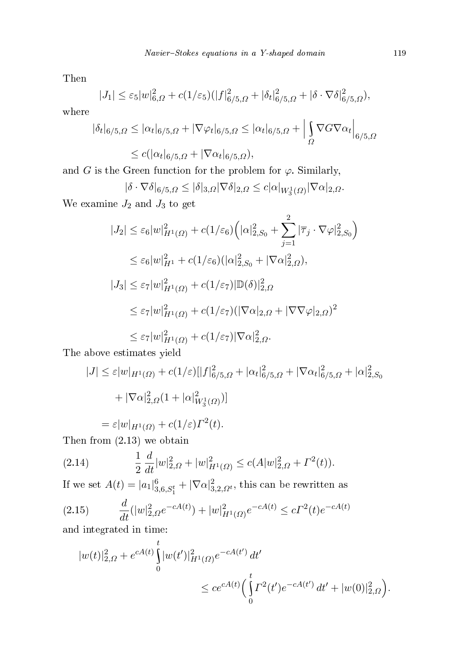Then

$$
|J_1| \leq \varepsilon_5 |w|_{6,\Omega}^2 + c(1/\varepsilon_5)(|f|_{6/5,\Omega}^2 + |\delta_t|_{6/5,\Omega}^2 + |\delta \cdot \nabla \delta|_{6/5,\Omega}^2),
$$

where

$$
|\delta_t|_{6/5,\Omega} \le |\alpha_t|_{6/5,\Omega} + |\nabla \varphi_t|_{6/5,\Omega} \le |\alpha_t|_{6/5,\Omega} + \Big|\int_{\Omega} \nabla G \nabla \alpha_t \Big|_{6/5,\Omega}
$$
  

$$
\le c(|\alpha_t|_{6/5,\Omega} + |\nabla \alpha_t|_{6/5,\Omega}),
$$

and G is the Green function for the problem for  $\varphi$ . Similarly,

$$
|\delta \cdot \nabla \delta|_{6/5,\Omega} \leq |\delta|_{3,\Omega} |\nabla \delta|_{2,\Omega} \leq c|\alpha|_{W_3^1(\Omega)} |\nabla \alpha|_{2,\Omega}.
$$

We examine  $J_2$  and  $J_3$  to get

$$
|J_2| \leq \varepsilon_6 |w|_{H^1(\Omega)}^2 + c(1/\varepsilon_6) \Big( |\alpha|_{2,S_0}^2 + \sum_{j=1}^2 |\overline{\tau}_j \cdot \nabla \varphi|_{2,S_0}^2 \Big)
$$
  
\n
$$
\leq \varepsilon_6 |w|_{H^1}^2 + c(1/\varepsilon_6) (|\alpha|_{2,S_0}^2 + |\nabla \alpha|_{2,\Omega}^2),
$$
  
\n
$$
|J_3| \leq \varepsilon_7 |w|_{H^1(\Omega)}^2 + c(1/\varepsilon_7) |\mathbb{D}(\delta)|_{2,\Omega}^2
$$
  
\n
$$
\leq \varepsilon_7 |w|_{H^1(\Omega)}^2 + c(1/\varepsilon_7) (|\nabla \alpha|_{2,\Omega} + |\nabla \nabla \varphi|_{2,\Omega})^2
$$
  
\n
$$
\leq \varepsilon_7 |w|_{H^1(\Omega)}^2 + c(1/\varepsilon_7) |\nabla \alpha|_{2,\Omega}^2.
$$

The above estimates yield

$$
|J| \leq \varepsilon |w|_{H^1(\Omega)} + c(1/\varepsilon) [|f|^2_{6/5,\Omega} + |\alpha_t|^2_{6/5,\Omega} + |\nabla \alpha_t|^2_{6/5,\Omega} + |\alpha|^2_{2,S_0}
$$
  
+  $|\nabla \alpha|^2_{2,\Omega} (1 + |\alpha|^2_{W^1_3(\Omega)})]$   
=  $\varepsilon |w|_{H^1(\Omega)} + c(1/\varepsilon) \Gamma^2(t).$ 

Then from (2.13) we obtain

(2.14) 
$$
\frac{1}{2} \frac{d}{dt} |w|_{2,\Omega}^2 + |w|_{H^1(\Omega)}^2 \le c(A|w|_{2,\Omega}^2 + \Gamma^2(t)).
$$

If we set  $A(t) = |a_1|^6_{3,6,S_1^t} + |\nabla \alpha|^2_{3,2,\Omega^t}$ , this can be rewritten as

(2.15) 
$$
\frac{d}{dt}(|w|_{2,\Omega}^2 e^{-cA(t)}) + |w|_{H^1(\Omega)}^2 e^{-cA(t)} \le c\Gamma^2(t)e^{-cA(t)}
$$

and integrated in time:

$$
|w(t)|_{2,\Omega}^2 + e^{cA(t)} \int_0^t |w(t')|_{H^1(\Omega)}^2 e^{-cA(t')} dt' \n\leq c e^{cA(t)} \Big( \int_0^t \Gamma^2(t') e^{-cA(t')} dt' + |w(0)|_{2,\Omega}^2 \Big).
$$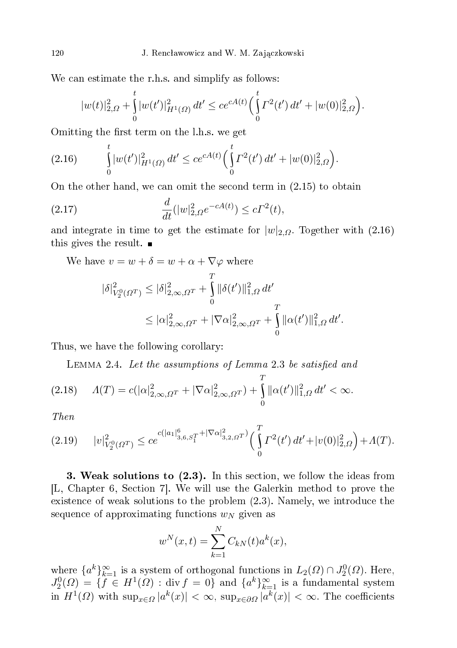We can estimate the r.h.s. and simplify as follows:

$$
|w(t)|_{2,\Omega}^2 + \int_0^t |w(t')|_{H^1(\Omega)}^2 dt' \le ce^{cA(t)} \Big(\int_0^t \Gamma^2(t') dt' + |w(0)|_{2,\Omega}^2\Big).
$$

Omitting the first term on the l.h.s. we get

$$
(2.16) \qquad \int_{0}^{t} |w(t')|_{H^{1}(\Omega)}^{2} dt' \leq c e^{cA(t)} \Big(\int_{0}^{t} \Gamma^{2}(t') dt' + |w(0)|_{2,\Omega}^{2}\Big).
$$

On the other hand, we can omit the second term in  $(2.15)$  to obtain

(2.17) 
$$
\frac{d}{dt}(|w|_{2,\Omega}^2 e^{-cA(t)}) \le c\Gamma^2(t),
$$

and integrate in time to get the estimate for  $|w|_{2,\Omega}$ . Together with (2.16) this gives the result.  $\blacksquare$ 

We have  $v = w + \delta = w + \alpha + \nabla \varphi$  where

$$
\begin{aligned} |\delta|^{2}_{V_{2}^{0}(\varOmega^{T})}&\leq|\delta|^{2}_{2,\infty,\varOmega^{T}}+\int\limits_{0}^{T}\|\delta(t')\|^{2}_{1,\varOmega}\,dt'\\ &\leq|\alpha|^{2}_{2,\infty,\varOmega^{T}}+|\nabla\alpha|^{2}_{2,\infty,\varOmega^{T}}+\int\limits_{0}^{T}\|\alpha(t')\|^{2}_{1,\varOmega}\,dt'. \end{aligned}
$$

Thus, we have the following corollary:

LEMMA 2.4. Let the assumptions of Lemma 2.3 be satisfied and

$$
(2.18)\quad \ A(T) = c(|\alpha|_{2,\infty,\Omega^T}^2 + |\nabla \alpha|_{2,\infty,\Omega^T}^2) + \int_0^T \|\alpha(t')\|_{1,\Omega}^2 dt' < \infty.
$$

Then

$$
(2.19) \t|v|_{V_2^0(\Omega^T)}^2 \le ce^{c(|a_1|_{3,6,S_1^T}^6 + |\nabla \alpha|_{3,2,\Omega}^2)} \left(\int_0^T \Gamma^2(t')\,dt' + |v(0)|_{2,\Omega}^2\right) + \Lambda(T).
$$

3. Weak solutions to  $(2.3)$ . In this section, we follow the ideas from [L, Chapter 6, Section 7]. We will use the Galerkin method to prove the existence of weak solutions to the problem  $(2.3)$ . Namely, we introduce the sequence of approximating functions  $w_N$  given as

$$
w^{N}(x,t) = \sum_{k=1}^{N} C_{kN}(t) a^{k}(x),
$$

where  $\{a^k\}_{k=1}^{\infty}$  is a system of orthogonal functions in  $L_2(\Omega) \cap J_2^0(\Omega)$ . Here,  $J_2^0(\Omega) = \{ f \in H^1(\Omega) : \text{div } f = 0 \}$  and  $\{a^k\}_{k=1}^{\infty}$  is a fundamental system in  $H^1(\Omega)$  with  $\sup_{x \in \Omega} |a^k(x)| < \infty$ ,  $\sup_{x \in \partial \Omega} |a^k(x)| < \infty$ . The coefficients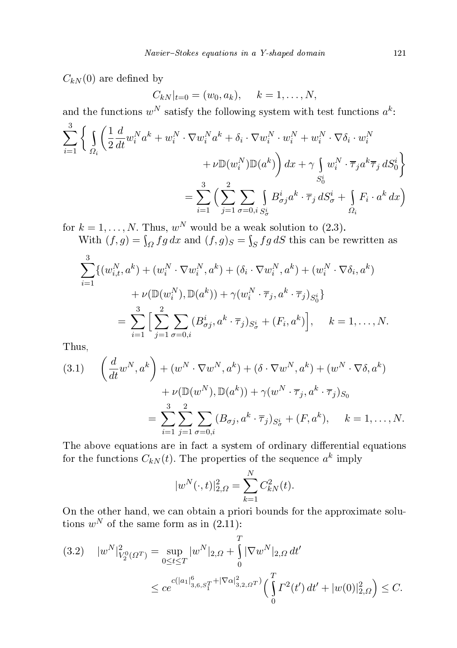$C_{kN}(0)$  are defined by

$$
C_{kN}|_{t=0} = (w_0, a_k), \quad k = 1, ..., N,
$$

and the functions  $w^N$  satisfy the following system with test functions  $a^k$ :

$$
\sum_{i=1}^{3} \left\{ \int_{\Omega_i} \left( \frac{1}{2} \frac{d}{dt} w_i^N a^k + w_i^N \cdot \nabla w_i^N a^k + \delta_i \cdot \nabla w_i^N \cdot w_i^N + w_i^N \cdot \nabla \delta_i \cdot w_i^N \right. \right. \\ \left. + \nu \mathbb{D}(w_i^N) \mathbb{D}(a^k) \right) dx + \gamma \int_{S_0^i} w_i^N \cdot \overline{\tau}_j a^k \overline{\tau}_j dS_0^i \right\}
$$

$$
= \sum_{i=1}^{3} \left( \sum_{j=1}^{2} \sum_{\sigma=0, i} \int_{S_{\sigma}^i} B_{\sigma j}^i a^k \cdot \overline{\tau}_j dS_{\sigma}^i + \int_{\Omega_i} F_i \cdot a^k dx \right)
$$

for  $k = 1, ..., N$ . Thus,  $w^N$  would be a weak solution to (2.3).<br>With  $(f, g) = \int_{\Omega} fg \, dx$  and  $(f, g)_S = \int_S fg \, dS$  this can be rewritten as 3

$$
\sum_{i=1}^{S} \{ (w_{i,t}^{N}, a^{k}) + (w_{i}^{N} \cdot \nabla w_{i}^{N}, a^{k}) + (\delta_{i} \cdot \nabla w_{i}^{N}, a^{k}) + (w_{i}^{N} \cdot \nabla \delta_{i}, a^{k}) + \nu(\mathbb{D}(w_{i}^{N}), \mathbb{D}(a^{k})) + \gamma(w_{i}^{N} \cdot \overline{\tau}_{j}, a^{k} \cdot \overline{\tau}_{j})_{S_{0}^{i}} \}
$$
\n
$$
= \sum_{i=1}^{3} \Big[ \sum_{j=1}^{2} \sum_{\sigma=0, i} (B_{\sigma j}^{i}, a^{k} \cdot \overline{\tau}_{j})_{S_{\sigma}^{i}} + (F_{i}, a^{k}) \Big], \quad k = 1, ..., N.
$$

Thus,

(3.1) 
$$
\begin{aligned}\n\left(\frac{d}{dt}w^N, a^k\right) + (w^N \cdot \nabla w^N, a^k) + (\delta \cdot \nabla w^N, a^k) + (w^N \cdot \nabla \delta, a^k) \\
&+ \nu(\mathbb{D}(w^N), \mathbb{D}(a^k)) + \gamma(w^N \cdot \overline{\tau}_j, a^k \cdot \overline{\tau}_j)S_0 \\
&= \sum_{i=1}^3 \sum_{j=1}^2 \sum_{\sigma=0, i} (B_{\sigma j}, a^k \cdot \overline{\tau}_j)_{S^i_{\sigma}} + (F, a^k), \quad k = 1, \dots, N.\n\end{aligned}
$$

The above equations are in fact a system of ordinary differential equations for the functions  $C_{kN}(t)$ . The properties of the sequence  $a^k$  imply

$$
|w^{N}(\cdot,t)|_{2,\Omega}^{2} = \sum_{k=1}^{N} C_{kN}^{2}(t).
$$

On the other hand, we an obtain a priori bounds for the approximate solutions  $w^N$  of the same form as in  $(2.11)$ :

 $\sigma$ 

$$
(3.2) \quad |w^N|_{V_2^0(\Omega^T)}^2 = \sup_{0 \le t \le T} |w^N|_{2,\Omega} + \int_0^1 |\nabla w^N|_{2,\Omega} dt'
$$
  

$$
\le c e^{c(|a_1|_{3,6,S_1^T}^6 + |\nabla \alpha|_{3,2,\Omega}^2)} \Big(\int_0^T \Gamma^2(t') dt' + |w(0)|_{2,\Omega}^2\Big) \le C.
$$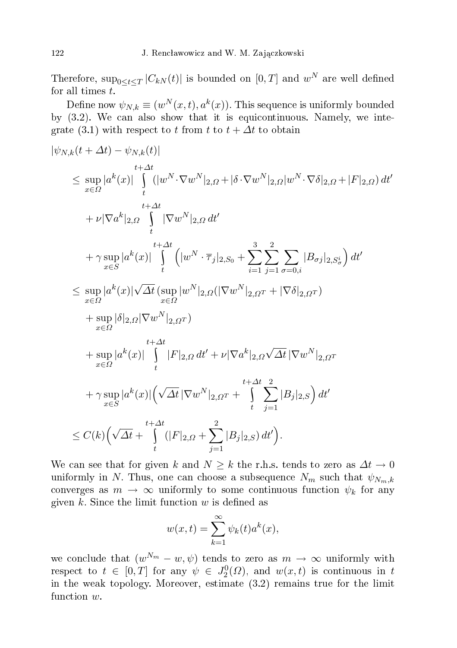Therefore,  $\sup_{0\leq t\leq T}|C_{kN}(t)|$  is bounded on  $[0,T]$  and  $w^N$  are well defined for all times  $t$ .

Define now  $\psi_{N,k} \equiv (w^N(x,t), a^k(x))$ . This sequence is uniformly bounded by  $(3.2)$ . We can also show that it is equicontinuous. Namely, we integrate (3.1) with respect to t from t to  $t + \Delta t$  to obtain

$$
\begin{split}\n&|\psi_{N,k}(t+\Delta t)-\psi_{N,k}(t)| \\
&\leq \sup_{x\in\Omega}|a^k(x)|\int\limits_t^t(|w^N\cdot\nabla w^N|_{2,\Omega}+|\delta\cdot\nabla w^N|_{2,\Omega}|w^N\cdot\nabla\delta|_{2,\Omega}+|F|_{2,\Omega})\,dt' \\
&+ \nu|\nabla a^k|_{2,\Omega}\int\limits_t^t|\nabla w^N|_{2,\Omega}\,dt' \\
&+ \gamma\sup_{x\in S}|a^k(x)|\int\limits_t^{t+\Delta t}\Big(|w^N\cdot\overline{\tau}_j|_{2,S_0}+\sum_{i=1}^3\sum_{j=1}^2\sum_{\sigma=0,i}|B_{\sigma j}|_{2,S_{\sigma}^i}\Big)\,dt' \\
&\leq \sup_{x\in\Omega}|a^k(x)|\sqrt{\Delta t}\big(\sup_{x\in\Omega}|w^N|_{2,\Omega}(|\nabla w^N|_{2,\Omega^T}+|\nabla\delta|_{2,\Omega^T}) \\
&+ \sup_{x\in\Omega}|\delta|_{2,\Omega}|\nabla w^N|_{2,\Omega^T}\big) \\
&+ \sup_{x\in\Omega}|a^k(x)|\int\limits_t^t|F|_{2,\Omega}\,dt'+\nu|\nabla a^k|_{2,\Omega}\sqrt{\Delta t}\,|\nabla w^N|_{2,\Omega^T} \\
&+ \gamma\sup_{x\in S}|a^k(x)|\bigg(\sqrt{\Delta t}\,|\nabla w^N|_{2,\Omega^T}+\int\limits_t^{t+\Delta t}\sum_{j=1}^2|B_j|_{2,S}\bigg)\,dt' \\
&\leq C(k)\Big(\sqrt{\Delta t}+\int\limits_t^{t+\Delta t}(|F|_{2,\Omega}+\sum_{j=1}^2|B_j|_{2,S})\,dt'\Big).\n\end{split}
$$

We can see that for given k and  $N \geq k$  the r.h.s. tends to zero as  $\Delta t \to 0$ uniformly in N. Thus, one can choose a subsequence  $N_m$  such that  $\psi_{N_m,k}$ converges as  $m \to \infty$  uniformly to some continuous function  $\psi_k$  for any given  $k$ . Since the limit function  $w$  is defined as

$$
w(x,t) = \sum_{k=1}^{\infty} \psi_k(t) a^k(x),
$$

we conclude that  $(w^{N_m} - w, \psi)$  tends to zero as  $m \to \infty$  uniformly with respect to  $t \in [0,T]$  for any  $\psi \in J_2^0(\Omega)$ , and  $w(x,t)$  is continuous in t in the weak topology. Moreover, estimate (3.2) remains true for the limit function w.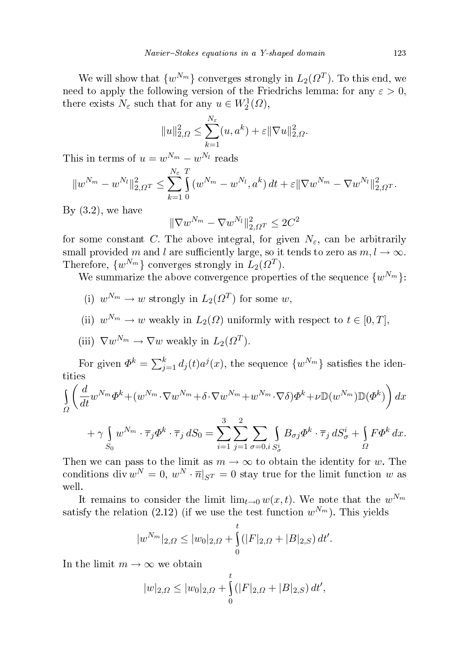We will show that  $\{w^{N_m}\}$  converges strongly in  $L_2(\Omega^T)$ . To this end, we need to apply the following version of the Friedrichs lemma: for any  $\varepsilon > 0$ , there exists  $N_{\varepsilon}$  such that for any  $u \in W_2^1(\Omega)$ ,

$$
||u||_{2,\Omega}^2 \le \sum_{k=1}^{N_{\varepsilon}} (u, a^k) + \varepsilon ||\nabla u||_{2,\Omega}^2.
$$

This in terms of  $u = w^{N_m} - w^{N_l}$  reads

$$
||w^{N_m}-w^{N_l}||_{2,\Omega^T}^2 \leq \sum_{k=1}^{N_{\varepsilon}} \int_{0}^{T} (w^{N_m}-w^{N_l},a^k) dt + \varepsilon ||\nabla w^{N_m}-\nabla w^{N_l}||_{2,\Omega^T}^2.
$$

By  $(3.2)$ , we have

$$
\|\nabla w^{N_m}-\nabla w^{N_l}\|_{2,\varOmega^T}^2\leq 2C^2
$$

for some constant C. The above integral, for given  $N_{\varepsilon}$ , can be arbitrarily small provided m and l are sufficiently large, so it tends to zero as  $m, l \to \infty$ . Therefore,  $\{w^{N_m}\}\$ converges strongly in  $L_2(\Omega^T)$ .

We summarize the above convergence properties of the sequence  $\{w^{N_m}\}$ :

- (i)  $w^{N_m} \to w$  strongly in  $L_2(\Omega^T)$  for some w,
- (ii)  $w^{N_m} \to w$  weakly in  $L_2(\Omega)$  uniformly with respect to  $t \in [0, T]$ ,
- (iii)  $\nabla w^{N_m} \to \nabla w$  weakly in  $L_2(\Omega^T)$ .

For given  $\Phi^k = \sum_{j=1}^k d_j(t) a^j(x)$ , the sequence  $\{w^{N_m}\}$  satisfies the identities

$$
\int_{\Omega} \left( \frac{d}{dt} w^{N_m} \Phi^k + (w^{N_m} \cdot \nabla w^{N_m} + \delta \cdot \nabla w^{N_m} + w^{N_m} \cdot \nabla \delta) \Phi^k + \nu \mathbb{D}(w^{N_m}) \mathbb{D}(\Phi^k) \right) dx
$$
  
3 2

$$
+ \gamma \int_{S_0} w^{N_m} \cdot \overline{\tau}_j \Phi^k \cdot \overline{\tau}_j dS_0 = \sum_{i=1}^3 \sum_{j=1}^2 \sum_{\sigma=0, i} \int_{S^i_{\sigma}} B_{\sigma j} \Phi^k \cdot \overline{\tau}_j dS^i_{\sigma} + \int_{\Omega} F \Phi^k dx.
$$

Then we can pass to the limit as  $m \to \infty$  to obtain the identity for w. The conditions div  $w^N = 0$ ,  $w^N \cdot \overline{n}|_{S^T} = 0$  stay true for the limit function w as well.

It remains to consider the limit  $\lim_{t\to 0} w(x,t)$ . We note that the  $w^{N_m}$ satisfy the relation (2.12) (if we use the test function  $w^{N_m}$ ). This yields

$$
|w^{N_m}|_{2,\Omega} \le |w_0|_{2,\Omega} + \int_0^t (|F|_{2,\Omega} + |B|_{2,S}) dt'.
$$

In the limit  $m \to \infty$  we obtain

$$
|w|_{2,\Omega} \le |w_0|_{2,\Omega} + \int_0^t (|F|_{2,\Omega} + |B|_{2,S}) dt',
$$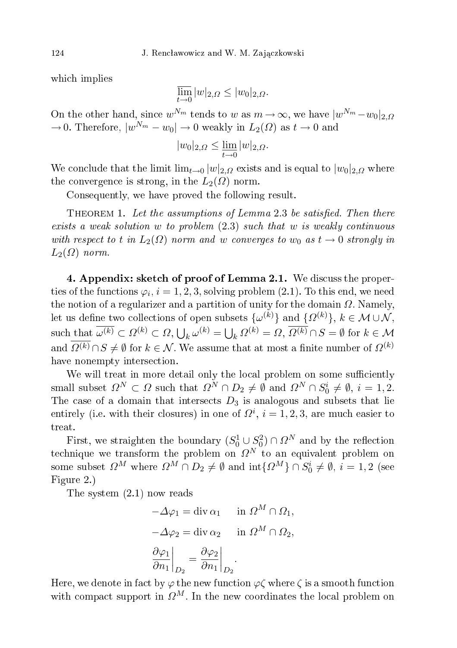whi
h implies

$$
\overline{\lim}_{t \to 0} |w|_{2,\Omega} \le |w_0|_{2,\Omega}.
$$

On the other hand, since  $w^{N_m}$  tends to w as  $m \to \infty$ , we have  $|w^{N_m} - w_0|_{2,\Omega}$  $\rightarrow$  0. Therefore,  $|w^{N_m} - w_0| \rightarrow 0$  weakly in  $L_2(\Omega)$  as  $t \rightarrow 0$  and

$$
|w_0|_{2,\Omega} \le \lim_{t \to 0} |w|_{2,\Omega}.
$$

We conclude that the limit  $\lim_{t\to 0} |w|_{2,\Omega}$  exists and is equal to  $|w_0|_{2,\Omega}$  where the convergence is strong, in the  $L_2(\Omega)$  norm.

Consequently, we have proved the following result.

THEOREM 1. Let the assumptions of Lemma 2.3 be satisfied. Then there exists a weak solution w to problem  $(2.3)$  such that w is weakly continuous with respect to t in  $L_2(\Omega)$  norm and w converges to  $w_0$  as  $t \to 0$  strongly in  $L_2(\Omega)$  norm.

4. Appendix: sket
h of proof of Lemma 2.1. We dis
uss the properties of the functions  $\varphi_i, i=1,2,3,$  solving problem (2.1). To this end, we need the notion of a regularizer and a partition of unity for the domain  $\Omega$ . Namely, let us define two collections of open subsets  $\{\omega^{(k)}\}$  and  $\{\Omega^{(k)}\}, k \in \mathcal{M} \cup \mathcal{N},$ such that  $\overline{\omega^{(k)}} \subset \Omega^{(k)} \subset \Omega$ ,  $\bigcup_k \omega^{(k)} = \bigcup_k \Omega^{(k)} = \Omega$ ,  $\overline{\Omega^{(k)}} \cap S = \emptyset$  for  $k \in \mathcal{M}$ and  $\overline{\Omega^{(k)}} \cap S \neq \emptyset$  for  $k \in \mathcal{N}$ . We assume that at most a finite number of  $\Omega^{(k)}$ have nonempty intersection.

We will treat in more detail only the local problem on some sufficiently small subset  $\Omega^N \subset \Omega$  such that  $\Omega^N \cap D_2 \neq \emptyset$  and  $\Omega^N \cap S_0^i \neq \emptyset$ ,  $i = 1, 2$ . The case of a domain that intersects  $D_3$  is analogous and subsets that lie entirely (i.e. with their closures) in one of  $\Omega^i$ ,  $i = 1, 2, 3$ , are much easier to treat.

First, we straighten the boundary  $(S_0^1 \cup S_0^2) \cap \Omega^N$  and by the reflection technique we transform the problem on  $\Omega^N$  to an equivalent problem on some subset  $\Omega^M$  where  $\Omega^M \cap D_2 \neq \emptyset$  and  $\text{int}\{\Omega^M\} \cap S_0^i \neq \emptyset$ ,  $i = 1, 2$  (see Figure 2.)

The system (2.1) now reads

$$
-\Delta \varphi_1 = \text{div }\alpha_1 \quad \text{ in } \Omega^M \cap \Omega_1,
$$
  

$$
-\Delta \varphi_2 = \text{div }\alpha_2 \quad \text{ in } \Omega^M \cap \Omega_2,
$$
  

$$
\left. \frac{\partial \varphi_1}{\partial n_1} \right|_{D_2} = \left. \frac{\partial \varphi_2}{\partial n_1} \right|_{D_2}.
$$

Here, we denote in fact by  $\varphi$  the new function  $\varphi \zeta$  where  $\zeta$  is a smooth function with compact support in  $\Omega^M$ . In the new coordinates the local problem on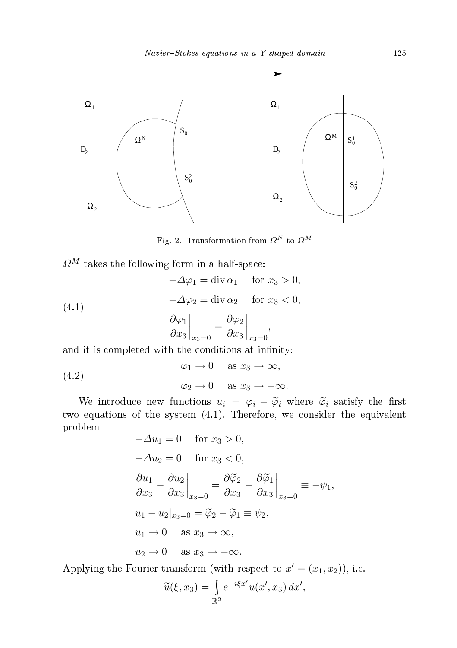

Fig. 2. Transformation from  $\Omega^N$  to  $\Omega^M$ 

 $\varOmega^M$  takes the following form in a half-space:

(4.1)  
\n
$$
-\Delta \varphi_1 = \text{div } \alpha_1 \quad \text{for } x_3 > 0,
$$
\n
$$
-\Delta \varphi_2 = \text{div } \alpha_2 \quad \text{for } x_3 < 0,
$$
\n
$$
\left.\frac{\partial \varphi_1}{\partial x_3}\right|_{x_3=0} = \left.\frac{\partial \varphi_2}{\partial x_3}\right|_{x_3=0},
$$

and it is completed with the conditions at infinity:

 $\varphi_1 \to 0$  as  $x_3 \to \infty$ ,  $\varphi_2 \to 0$  as  $x_3 \to -\infty$ . (4.2)

We introduce new functions  $u_i = \varphi_i - \widetilde{\varphi}_i$  where  $\widetilde{\varphi}_i$  satisfy the first two equations of the system (4.1). Therefore, we onsider the equivalent problem

$$
-\Delta u_1 = 0 \quad \text{for } x_3 > 0,
$$
  
\n
$$
-\Delta u_2 = 0 \quad \text{for } x_3 < 0,
$$
  
\n
$$
\frac{\partial u_1}{\partial x_3} - \frac{\partial u_2}{\partial x_3}\Big|_{x_3=0} = \frac{\partial \tilde{\varphi}_2}{\partial x_3} - \frac{\partial \tilde{\varphi}_1}{\partial x_3}\Big|_{x_3=0} = -\psi_1,
$$
  
\n
$$
u_1 - u_2|_{x_3=0} = \tilde{\varphi}_2 - \tilde{\varphi}_1 \equiv \psi_2,
$$
  
\n
$$
u_1 \to 0 \quad \text{as } x_3 \to \infty,
$$
  
\n
$$
u_2 \to 0 \quad \text{as } x_3 \to -\infty.
$$

Applying the Fourier transform (with respect to  $x' = (x_1, x_2)$ ), i.e.

$$
\widetilde{u}(\xi, x_3) = \int_{\mathbb{R}^2} e^{-i\xi x'} u(x', x_3) dx',
$$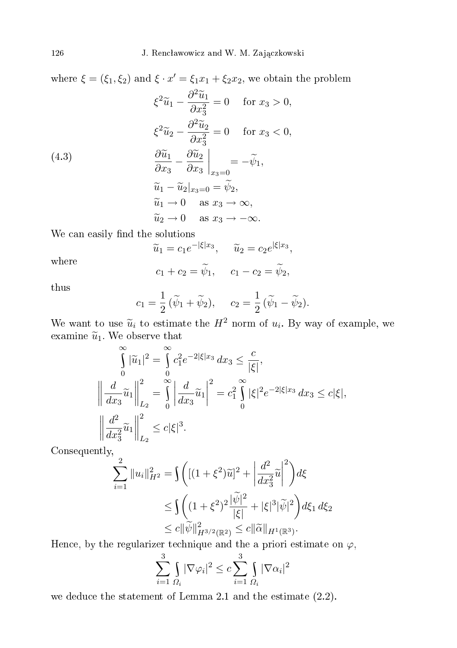where  $\xi = (\xi_1, \xi_2)$  and  $\xi \cdot x' = \xi_1 x_1 + \xi_2 x_2$ , we obtain the problem

(4.3)  
\n
$$
\xi^2 \widetilde{u}_1 - \frac{\partial^2 \widetilde{u}_1}{\partial x_3^2} = 0 \quad \text{for } x_3 > 0,
$$
\n
$$
\xi^2 \widetilde{u}_2 - \frac{\partial^2 \widetilde{u}_2}{\partial x_3^2} = 0 \quad \text{for } x_3 < 0,
$$
\n
$$
\frac{\partial \widetilde{u}_1}{\partial x_3} - \frac{\partial \widetilde{u}_2}{\partial x_3} \Big|_{x_3=0} = -\widetilde{\psi}_1,
$$
\n
$$
\widetilde{u}_1 - \widetilde{u}_2|_{x_3=0} = \widetilde{\psi}_2,
$$
\n
$$
\widetilde{u}_1 \to 0 \quad \text{as } x_3 \to \infty,
$$
\n
$$
\widetilde{u}_2 \to 0 \quad \text{as } x_3 \to -\infty.
$$

We can easily find the solutions

 $\widetilde{u}_1 = c_1 e^{-|\xi| x_3}, \quad \widetilde{u}_2 = c_2 e^{|\xi| x_3},$ 

where

$$
c_1 + c_2 = \widetilde{\psi}_1, \quad c_1 - c_2 = \widetilde{\psi}_2,
$$

thus

$$
c_1 = \frac{1}{2} (\widetilde{\psi}_1 + \widetilde{\psi}_2), \quad c_2 = \frac{1}{2} (\widetilde{\psi}_1 - \widetilde{\psi}_2).
$$

We want to use  $\widetilde{u}_i$  to estimate the  $H^2$  norm of  $u_i$ . By way of example, we examine  $\widetilde{u}_1$ . We observe that

$$
\int_{0}^{\infty} |\tilde{u}_{1}|^{2} = \int_{0}^{\infty} c_{1}^{2} e^{-2|\xi| x_{3}} dx_{3} \leq \frac{c}{|\xi|},
$$
  

$$
\left\| \frac{d}{dx_{3}} \tilde{u}_{1} \right\|_{L_{2}}^{2} = \int_{0}^{\infty} \left| \frac{d}{dx_{3}} \tilde{u}_{1} \right|^{2} = c_{1}^{2} \int_{0}^{\infty} |\xi|^{2} e^{-2|\xi| x_{3}} dx_{3} \leq c|\xi|,
$$
  

$$
\left\| \frac{d^{2}}{dx_{3}^{2}} \tilde{u}_{1} \right\|_{L_{2}}^{2} \leq c|\xi|^{3}.
$$

Consequently,

$$
\sum_{i=1}^{2} \|u_{i}\|_{H^{2}}^{2} = \int \left( [(1+\xi^{2})\widetilde{u}]^{2} + \left| \frac{d^{2}}{dx_{3}^{2}}\widetilde{u} \right|^{2} \right) d\xi
$$
  
\n
$$
\leq \int \left( (1+\xi^{2})^{2} \frac{|\widetilde{\psi}|^{2}}{|\xi|} + |\xi|^{3} |\widetilde{\psi}|^{2} \right) d\xi_{1} d\xi_{2}
$$
  
\n
$$
\leq c \|\widetilde{\psi}\|_{H^{3/2}(\mathbb{R}^{2})}^{2} \leq c \|\widetilde{\alpha}\|_{H^{1}(\mathbb{R}^{3})}.
$$

Hence, by the regularizer technique and the a priori estimate on  $\varphi$ ,

$$
\sum_{i=1}^{3} \int_{\Omega_i} |\nabla \varphi_i|^2 \leq c \sum_{i=1}^{3} \int_{\Omega_i} |\nabla \alpha_i|^2
$$

we deduce the statement of Lemma 2.1 and the estimate  $(2.2)$ .